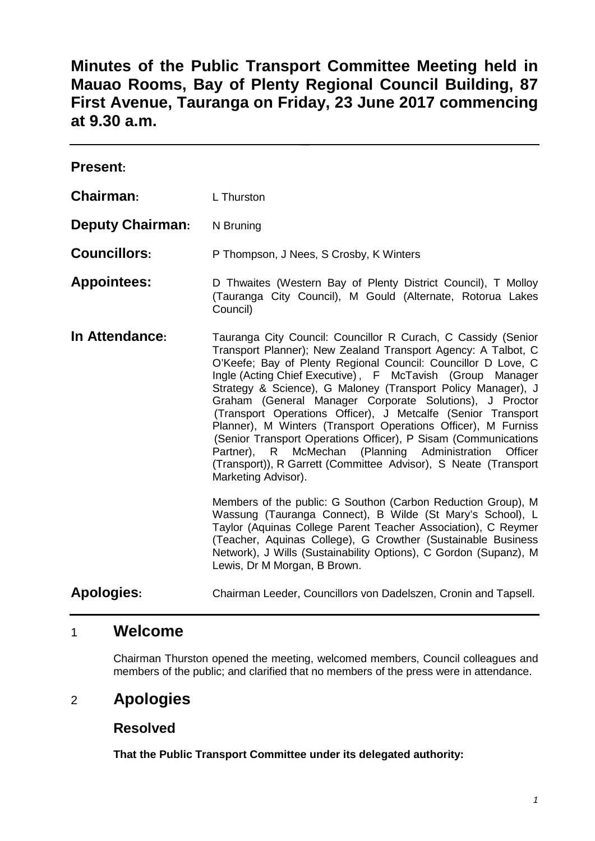# **Minutes of the Public Transport Committee Meeting held in Mauao Rooms, Bay of Plenty Regional Council Building, 87 First Avenue, Tauranga on Friday, 23 June 2017 commencing at 9.30 a.m.**

| <b>Present:</b>         |                                                                                                                                                                                                                                                                                                                                                                                                                                                                                                                                                                                                                                                                                                                                                        |
|-------------------------|--------------------------------------------------------------------------------------------------------------------------------------------------------------------------------------------------------------------------------------------------------------------------------------------------------------------------------------------------------------------------------------------------------------------------------------------------------------------------------------------------------------------------------------------------------------------------------------------------------------------------------------------------------------------------------------------------------------------------------------------------------|
| Chairman:               | L Thurston                                                                                                                                                                                                                                                                                                                                                                                                                                                                                                                                                                                                                                                                                                                                             |
| <b>Deputy Chairman:</b> | N Bruning                                                                                                                                                                                                                                                                                                                                                                                                                                                                                                                                                                                                                                                                                                                                              |
| <b>Councillors:</b>     | P Thompson, J Nees, S Crosby, K Winters                                                                                                                                                                                                                                                                                                                                                                                                                                                                                                                                                                                                                                                                                                                |
| <b>Appointees:</b>      | D Thwaites (Western Bay of Plenty District Council), T Molloy<br>(Tauranga City Council), M Gould (Alternate, Rotorua Lakes<br>Council)                                                                                                                                                                                                                                                                                                                                                                                                                                                                                                                                                                                                                |
| In Attendance:          | Tauranga City Council: Councillor R Curach, C Cassidy (Senior<br>Transport Planner); New Zealand Transport Agency: A Talbot, C<br>O'Keefe; Bay of Plenty Regional Council: Councillor D Love, C<br>Ingle (Acting Chief Executive), F McTavish (Group Manager<br>Strategy & Science), G Maloney (Transport Policy Manager), J<br>Graham (General Manager Corporate Solutions), J Proctor<br>(Transport Operations Officer), J Metcalfe (Senior Transport<br>Planner), M Winters (Transport Operations Officer), M Furniss<br>(Senior Transport Operations Officer), P Sisam (Communications<br>(Planning Administration<br>McMechan<br>Officer<br>Partner), R<br>(Transport)), R Garrett (Committee Advisor), S Neate (Transport<br>Marketing Advisor). |
|                         | Members of the public: G Southon (Carbon Reduction Group), M<br>Wassung (Tauranga Connect), B Wilde (St Mary's School), L<br>Taylor (Aquinas College Parent Teacher Association), C Reymer<br>(Teacher, Aquinas College), G Crowther (Sustainable Business<br>Network), J Wills (Sustainability Options), C Gordon (Supanz), M<br>Lewis, Dr M Morgan, B Brown.                                                                                                                                                                                                                                                                                                                                                                                         |
| <b>Apologies:</b>       | Chairman Leeder, Councillors von Dadelszen, Cronin and Tapsell.                                                                                                                                                                                                                                                                                                                                                                                                                                                                                                                                                                                                                                                                                        |

## 1 **Welcome**

Chairman Thurston opened the meeting, welcomed members, Council colleagues and members of the public; and clarified that no members of the press were in attendance.

## 2 **Apologies**

## **Resolved**

**That the Public Transport Committee under its delegated authority:**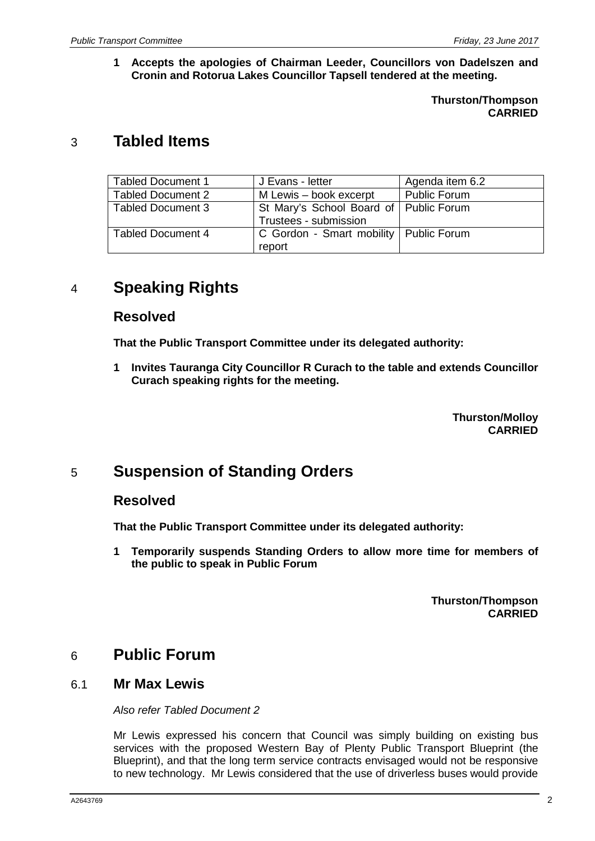**1 Accepts the apologies of Chairman Leeder, Councillors von Dadelszen and Cronin and Rotorua Lakes Councillor Tapsell tendered at the meeting.**

> **Thurston/Thompson CARRIED**

## 3 **Tabled Items**

| <b>Tabled Document 1</b> | J Evans - letter                                                  | Agenda item 6.2 |
|--------------------------|-------------------------------------------------------------------|-----------------|
| <b>Tabled Document 2</b> | M Lewis – book excerpt                                            | Public Forum    |
| <b>Tabled Document 3</b> | St Mary's School Board of   Public Forum<br>Trustees - submission |                 |
| <b>Tabled Document 4</b> | C Gordon - Smart mobility   Public Forum<br>report                |                 |

# 4 **Speaking Rights**

### **Resolved**

**That the Public Transport Committee under its delegated authority:**

**1 Invites Tauranga City Councillor R Curach to the table and extends Councillor Curach speaking rights for the meeting.**

> **Thurston/Molloy CARRIED**

# 5 **Suspension of Standing Orders**

### **Resolved**

**That the Public Transport Committee under its delegated authority:**

**1 Temporarily suspends Standing Orders to allow more time for members of the public to speak in Public Forum**

> **Thurston/Thompson CARRIED**

## 6 **Public Forum**

### 6.1 **Mr Max Lewis**

*Also refer Tabled Document 2*

Mr Lewis expressed his concern that Council was simply building on existing bus services with the proposed Western Bay of Plenty Public Transport Blueprint (the Blueprint), and that the long term service contracts envisaged would not be responsive to new technology. Mr Lewis considered that the use of driverless buses would provide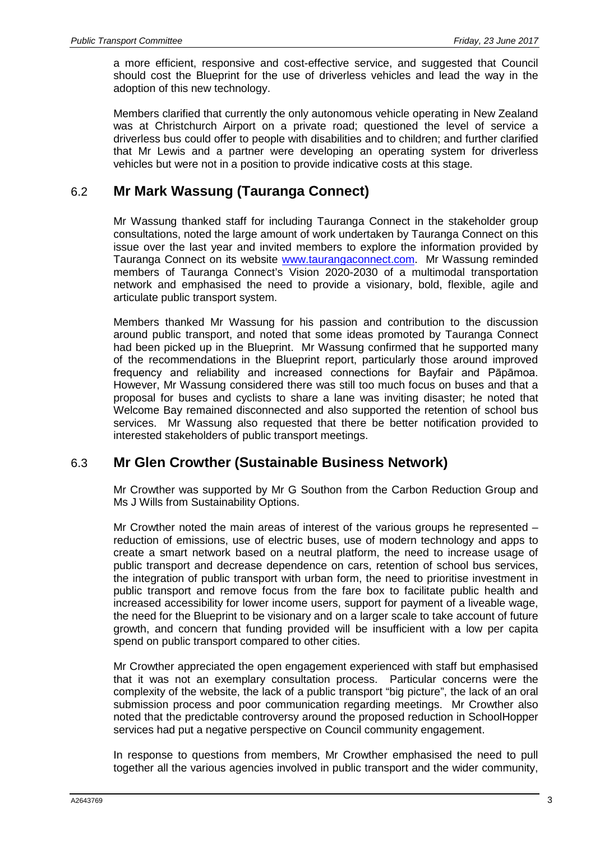a more efficient, responsive and cost-effective service, and suggested that Council should cost the Blueprint for the use of driverless vehicles and lead the way in the adoption of this new technology.

Members clarified that currently the only autonomous vehicle operating in New Zealand was at Christchurch Airport on a private road; questioned the level of service a driverless bus could offer to people with disabilities and to children; and further clarified that Mr Lewis and a partner were developing an operating system for driverless vehicles but were not in a position to provide indicative costs at this stage.

## 6.2 **Mr Mark Wassung (Tauranga Connect)**

Mr Wassung thanked staff for including Tauranga Connect in the stakeholder group consultations, noted the large amount of work undertaken by Tauranga Connect on this issue over the last year and invited members to explore the information provided by Tauranga Connect on its website [www.taurangaconnect.com.](http://www.taurangaconnect.com/) Mr Wassung reminded members of Tauranga Connect's Vision 2020-2030 of a multimodal transportation network and emphasised the need to provide a visionary, bold, flexible, agile and articulate public transport system.

Members thanked Mr Wassung for his passion and contribution to the discussion around public transport, and noted that some ideas promoted by Tauranga Connect had been picked up in the Blueprint. Mr Wassung confirmed that he supported many of the recommendations in the Blueprint report, particularly those around improved frequency and reliability and increased connections for Bayfair and Pāpāmoa. However, Mr Wassung considered there was still too much focus on buses and that a proposal for buses and cyclists to share a lane was inviting disaster; he noted that Welcome Bay remained disconnected and also supported the retention of school bus services. Mr Wassung also requested that there be better notification provided to interested stakeholders of public transport meetings.

## 6.3 **Mr Glen Crowther (Sustainable Business Network)**

Mr Crowther was supported by Mr G Southon from the Carbon Reduction Group and Ms J Wills from Sustainability Options.

Mr Crowther noted the main areas of interest of the various groups he represented – reduction of emissions, use of electric buses, use of modern technology and apps to create a smart network based on a neutral platform, the need to increase usage of public transport and decrease dependence on cars, retention of school bus services, the integration of public transport with urban form, the need to prioritise investment in public transport and remove focus from the fare box to facilitate public health and increased accessibility for lower income users, support for payment of a liveable wage, the need for the Blueprint to be visionary and on a larger scale to take account of future growth, and concern that funding provided will be insufficient with a low per capita spend on public transport compared to other cities.

Mr Crowther appreciated the open engagement experienced with staff but emphasised that it was not an exemplary consultation process. Particular concerns were the complexity of the website, the lack of a public transport "big picture", the lack of an oral submission process and poor communication regarding meetings. Mr Crowther also noted that the predictable controversy around the proposed reduction in SchoolHopper services had put a negative perspective on Council community engagement.

In response to questions from members, Mr Crowther emphasised the need to pull together all the various agencies involved in public transport and the wider community,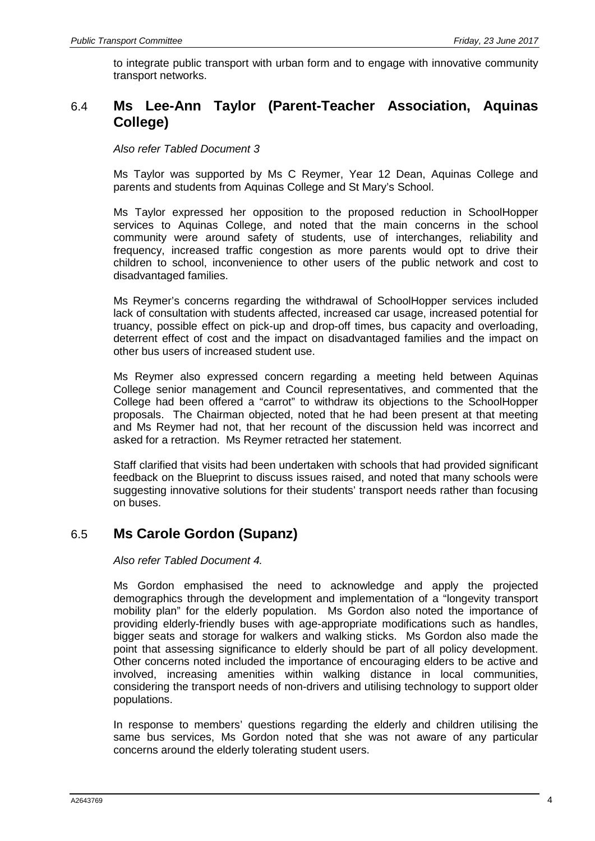to integrate public transport with urban form and to engage with innovative community transport networks.

## 6.4 **Ms Lee-Ann Taylor (Parent-Teacher Association, Aquinas College)**

*Also refer Tabled Document 3*

Ms Taylor was supported by Ms C Reymer, Year 12 Dean, Aquinas College and parents and students from Aquinas College and St Mary's School.

Ms Taylor expressed her opposition to the proposed reduction in SchoolHopper services to Aquinas College, and noted that the main concerns in the school community were around safety of students, use of interchanges, reliability and frequency, increased traffic congestion as more parents would opt to drive their children to school, inconvenience to other users of the public network and cost to disadvantaged families.

Ms Reymer's concerns regarding the withdrawal of SchoolHopper services included lack of consultation with students affected, increased car usage, increased potential for truancy, possible effect on pick-up and drop-off times, bus capacity and overloading, deterrent effect of cost and the impact on disadvantaged families and the impact on other bus users of increased student use.

Ms Reymer also expressed concern regarding a meeting held between Aquinas College senior management and Council representatives, and commented that the College had been offered a "carrot" to withdraw its objections to the SchoolHopper proposals. The Chairman objected, noted that he had been present at that meeting and Ms Reymer had not, that her recount of the discussion held was incorrect and asked for a retraction. Ms Reymer retracted her statement.

Staff clarified that visits had been undertaken with schools that had provided significant feedback on the Blueprint to discuss issues raised, and noted that many schools were suggesting innovative solutions for their students' transport needs rather than focusing on buses.

## 6.5 **Ms Carole Gordon (Supanz)**

*Also refer Tabled Document 4.*

Ms Gordon emphasised the need to acknowledge and apply the projected demographics through the development and implementation of a "longevity transport mobility plan" for the elderly population. Ms Gordon also noted the importance of providing elderly-friendly buses with age-appropriate modifications such as handles, bigger seats and storage for walkers and walking sticks. Ms Gordon also made the point that assessing significance to elderly should be part of all policy development. Other concerns noted included the importance of encouraging elders to be active and involved, increasing amenities within walking distance in local communities, considering the transport needs of non-drivers and utilising technology to support older populations.

In response to members' questions regarding the elderly and children utilising the same bus services, Ms Gordon noted that she was not aware of any particular concerns around the elderly tolerating student users.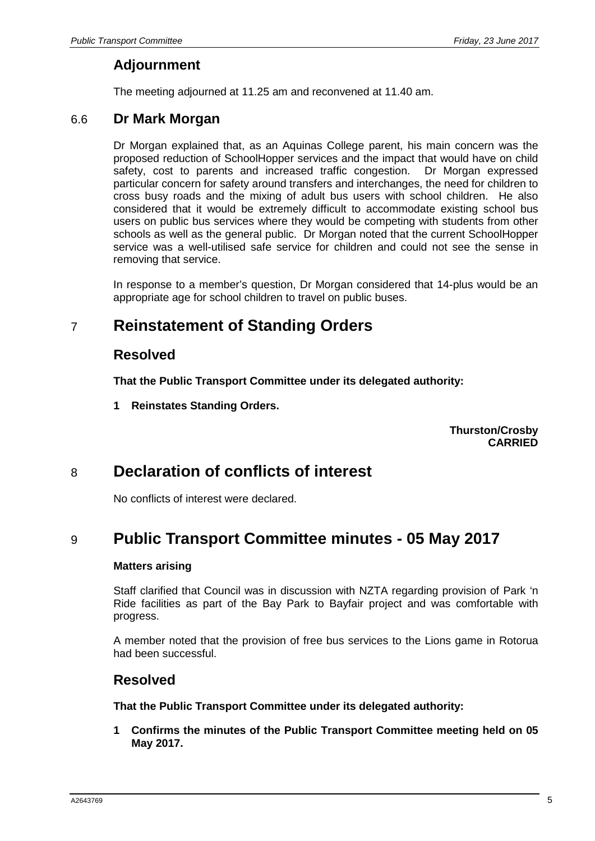## **Adjournment**

The meeting adjourned at 11.25 am and reconvened at 11.40 am.

### 6.6 **Dr Mark Morgan**

Dr Morgan explained that, as an Aquinas College parent, his main concern was the proposed reduction of SchoolHopper services and the impact that would have on child safety, cost to parents and increased traffic congestion. Dr Morgan expressed particular concern for safety around transfers and interchanges, the need for children to cross busy roads and the mixing of adult bus users with school children. He also considered that it would be extremely difficult to accommodate existing school bus users on public bus services where they would be competing with students from other schools as well as the general public. Dr Morgan noted that the current SchoolHopper service was a well-utilised safe service for children and could not see the sense in removing that service.

In response to a member's question, Dr Morgan considered that 14-plus would be an appropriate age for school children to travel on public buses.

# 7 **Reinstatement of Standing Orders**

### **Resolved**

**That the Public Transport Committee under its delegated authority:**

**1 Reinstates Standing Orders.**

**Thurston/Crosby CARRIED**

# 8 **Declaration of conflicts of interest**

No conflicts of interest were declared.

# 9 **Public Transport Committee minutes - 05 May 2017**

### **Matters arising**

Staff clarified that Council was in discussion with NZTA regarding provision of Park 'n Ride facilities as part of the Bay Park to Bayfair project and was comfortable with progress.

A member noted that the provision of free bus services to the Lions game in Rotorua had been successful.

### **Resolved**

**That the Public Transport Committee under its delegated authority:**

**1 Confirms the minutes of the Public Transport Committee meeting held on 05 May 2017.**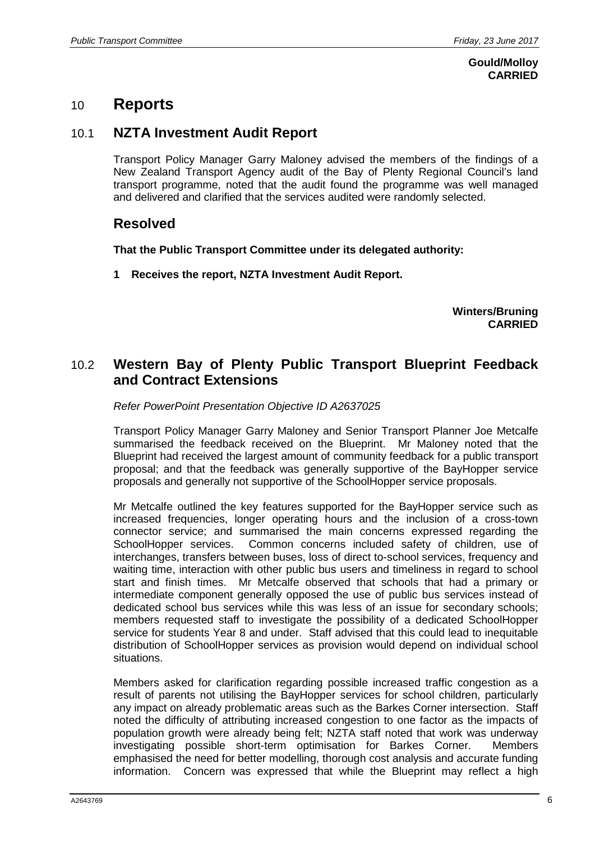### **Gould/Molloy CARRIED**

## 10 **Reports**

## 10.1 **NZTA Investment Audit Report**

Transport Policy Manager Garry Maloney advised the members of the findings of a New Zealand Transport Agency audit of the Bay of Plenty Regional Council's land transport programme, noted that the audit found the programme was well managed and delivered and clarified that the services audited were randomly selected.

## **Resolved**

**That the Public Transport Committee under its delegated authority:**

**1 Receives the report, NZTA Investment Audit Report.**

**Winters/Bruning CARRIED**

## 10.2 **Western Bay of Plenty Public Transport Blueprint Feedback and Contract Extensions**

### *Refer PowerPoint Presentation Objective ID A2637025*

Transport Policy Manager Garry Maloney and Senior Transport Planner Joe Metcalfe summarised the feedback received on the Blueprint. Mr Maloney noted that the Blueprint had received the largest amount of community feedback for a public transport proposal; and that the feedback was generally supportive of the BayHopper service proposals and generally not supportive of the SchoolHopper service proposals.

Mr Metcalfe outlined the key features supported for the BayHopper service such as increased frequencies, longer operating hours and the inclusion of a cross-town connector service; and summarised the main concerns expressed regarding the SchoolHopper services. Common concerns included safety of children, use of interchanges, transfers between buses, loss of direct to-school services, frequency and waiting time, interaction with other public bus users and timeliness in regard to school start and finish times. Mr Metcalfe observed that schools that had a primary or intermediate component generally opposed the use of public bus services instead of dedicated school bus services while this was less of an issue for secondary schools; members requested staff to investigate the possibility of a dedicated SchoolHopper service for students Year 8 and under. Staff advised that this could lead to inequitable distribution of SchoolHopper services as provision would depend on individual school situations.

Members asked for clarification regarding possible increased traffic congestion as a result of parents not utilising the BayHopper services for school children, particularly any impact on already problematic areas such as the Barkes Corner intersection. Staff noted the difficulty of attributing increased congestion to one factor as the impacts of population growth were already being felt; NZTA staff noted that work was underway investigating possible short-term optimisation for Barkes Corner. Members emphasised the need for better modelling, thorough cost analysis and accurate funding information. Concern was expressed that while the Blueprint may reflect a high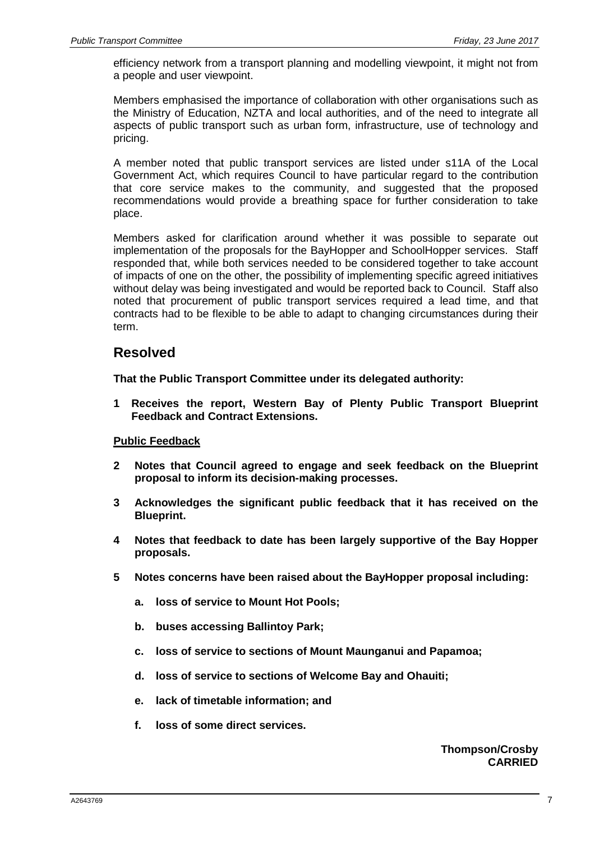efficiency network from a transport planning and modelling viewpoint, it might not from a people and user viewpoint.

Members emphasised the importance of collaboration with other organisations such as the Ministry of Education, NZTA and local authorities, and of the need to integrate all aspects of public transport such as urban form, infrastructure, use of technology and pricing.

A member noted that public transport services are listed under s11A of the Local Government Act, which requires Council to have particular regard to the contribution that core service makes to the community, and suggested that the proposed recommendations would provide a breathing space for further consideration to take place.

Members asked for clarification around whether it was possible to separate out implementation of the proposals for the BayHopper and SchoolHopper services. Staff responded that, while both services needed to be considered together to take account of impacts of one on the other, the possibility of implementing specific agreed initiatives without delay was being investigated and would be reported back to Council. Staff also noted that procurement of public transport services required a lead time, and that contracts had to be flexible to be able to adapt to changing circumstances during their term.

### **Resolved**

**That the Public Transport Committee under its delegated authority:**

**1 Receives the report, Western Bay of Plenty Public Transport Blueprint Feedback and Contract Extensions.**

### **Public Feedback**

- **2 Notes that Council agreed to engage and seek feedback on the Blueprint proposal to inform its decision-making processes.**
- **3 Acknowledges the significant public feedback that it has received on the Blueprint.**
- **4 Notes that feedback to date has been largely supportive of the Bay Hopper proposals.**
- **5 Notes concerns have been raised about the BayHopper proposal including:**
	- **a. loss of service to Mount Hot Pools;**
	- **b. buses accessing Ballintoy Park;**
	- **c. loss of service to sections of Mount Maunganui and Papamoa;**
	- **d. loss of service to sections of Welcome Bay and Ohauiti;**
	- **e. lack of timetable information; and**
	- **f. loss of some direct services.**

### **Thompson/Crosby CARRIED**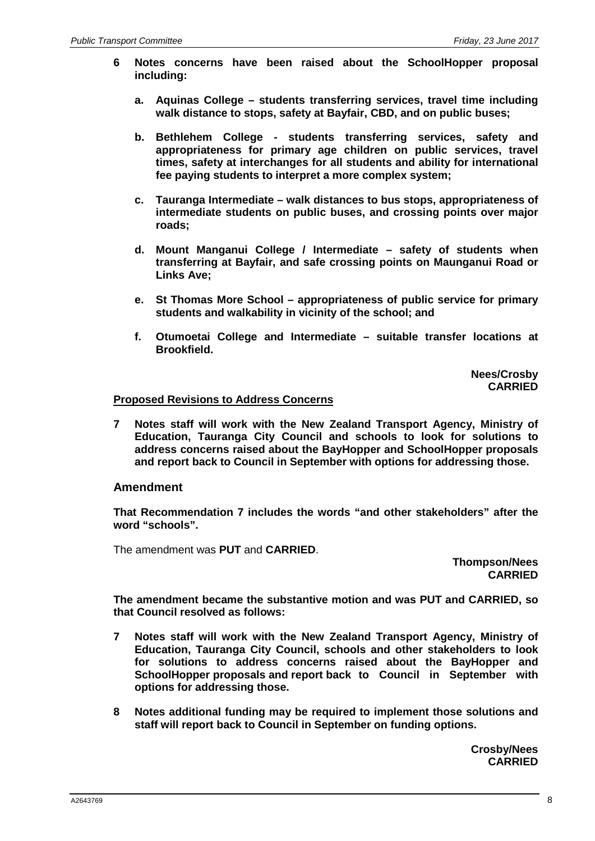- **6 Notes concerns have been raised about the SchoolHopper proposal including:**
	- **a. Aquinas College – students transferring services, travel time including walk distance to stops, safety at Bayfair, CBD, and on public buses;**
	- **b. Bethlehem College - students transferring services, safety and appropriateness for primary age children on public services, travel times, safety at interchanges for all students and ability for international fee paying students to interpret a more complex system;**
	- **c. Tauranga Intermediate – walk distances to bus stops, appropriateness of intermediate students on public buses, and crossing points over major roads;**
	- **d. Mount Manganui College / Intermediate – safety of students when transferring at Bayfair, and safe crossing points on Maunganui Road or Links Ave;**
	- **e. St Thomas More School – appropriateness of public service for primary students and walkability in vicinity of the school; and**
	- **f. Otumoetai College and Intermediate – suitable transfer locations at Brookfield.**

**Nees/Crosby CARRIED**

#### **Proposed Revisions to Address Concerns**

**7 Notes staff will work with the New Zealand Transport Agency, Ministry of Education, Tauranga City Council and schools to look for solutions to address concerns raised about the BayHopper and SchoolHopper proposals and report back to Council in September with options for addressing those.**

### **Amendment**

**That Recommendation 7 includes the words "and other stakeholders" after the word "schools".**

The amendment was **PUT** and **CARRIED**.

**Thompson/Nees CARRIED**

**The amendment became the substantive motion and was PUT and CARRIED, so that Council resolved as follows:**

- **7 Notes staff will work with the New Zealand Transport Agency, Ministry of Education, Tauranga City Council, schools and other stakeholders to look for solutions to address concerns raised about the BayHopper and SchoolHopper proposals and report back to Council in September with options for addressing those.**
- **8 Notes additional funding may be required to implement those solutions and staff will report back to Council in September on funding options.**

**Crosby/Nees CARRIED**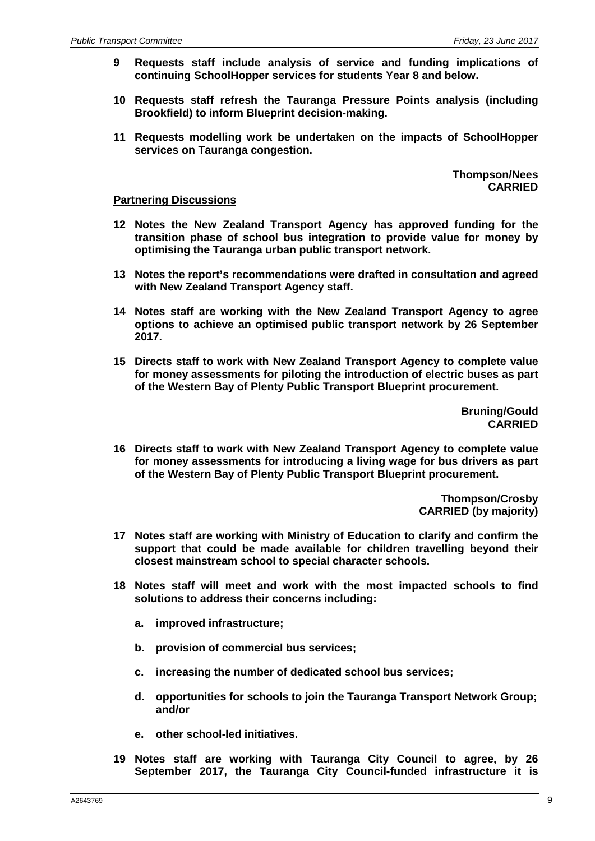- **9 Requests staff include analysis of service and funding implications of continuing SchoolHopper services for students Year 8 and below.**
- **10 Requests staff refresh the Tauranga Pressure Points analysis (including Brookfield) to inform Blueprint decision-making.**
- **11 Requests modelling work be undertaken on the impacts of SchoolHopper services on Tauranga congestion.**

**Thompson/Nees CARRIED**

#### **Partnering Discussions**

- **12 Notes the New Zealand Transport Agency has approved funding for the transition phase of school bus integration to provide value for money by optimising the Tauranga urban public transport network.**
- **13 Notes the report's recommendations were drafted in consultation and agreed with New Zealand Transport Agency staff.**
- **14 Notes staff are working with the New Zealand Transport Agency to agree options to achieve an optimised public transport network by 26 September 2017.**
- **15 Directs staff to work with New Zealand Transport Agency to complete value for money assessments for piloting the introduction of electric buses as part of the Western Bay of Plenty Public Transport Blueprint procurement.**

**Bruning/Gould CARRIED**

**16 Directs staff to work with New Zealand Transport Agency to complete value for money assessments for introducing a living wage for bus drivers as part of the Western Bay of Plenty Public Transport Blueprint procurement.**

> **Thompson/Crosby CARRIED (by majority)**

- **17 Notes staff are working with Ministry of Education to clarify and confirm the support that could be made available for children travelling beyond their closest mainstream school to special character schools.**
- **18 Notes staff will meet and work with the most impacted schools to find solutions to address their concerns including:**
	- **a. improved infrastructure;**
	- **b. provision of commercial bus services;**
	- **c. increasing the number of dedicated school bus services;**
	- **d. opportunities for schools to join the Tauranga Transport Network Group; and/or**
	- **e. other school-led initiatives.**
- **19 Notes staff are working with Tauranga City Council to agree, by 26 September 2017, the Tauranga City Council-funded infrastructure it is**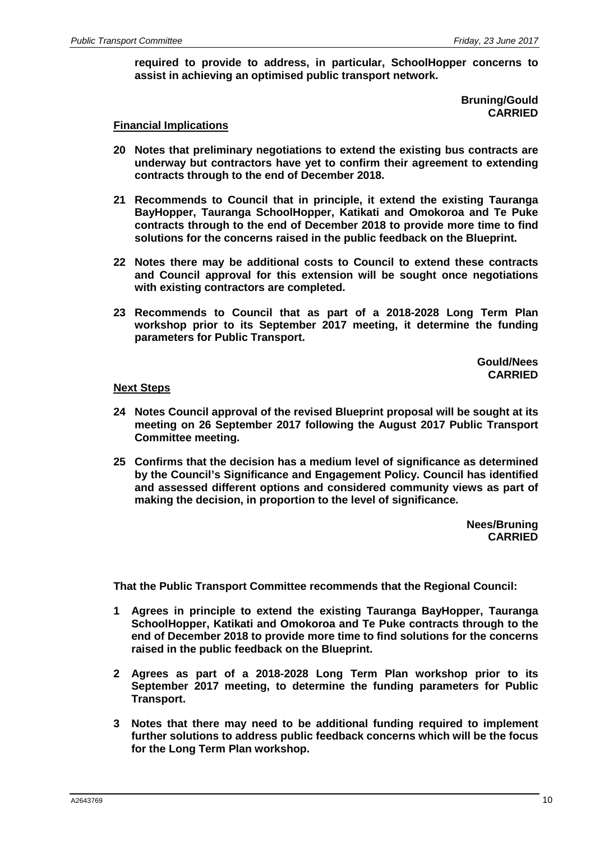**required to provide to address, in particular, SchoolHopper concerns to assist in achieving an optimised public transport network.**

> **Bruning/Gould CARRIED**

#### **Financial Implications**

- **20 Notes that preliminary negotiations to extend the existing bus contracts are underway but contractors have yet to confirm their agreement to extending contracts through to the end of December 2018.**
- **21 Recommends to Council that in principle, it extend the existing Tauranga BayHopper, Tauranga SchoolHopper, Katikati and Omokoroa and Te Puke contracts through to the end of December 2018 to provide more time to find solutions for the concerns raised in the public feedback on the Blueprint.**
- **22 Notes there may be additional costs to Council to extend these contracts and Council approval for this extension will be sought once negotiations with existing contractors are completed.**
- **23 Recommends to Council that as part of a 2018-2028 Long Term Plan workshop prior to its September 2017 meeting, it determine the funding parameters for Public Transport.**

**Gould/Nees CARRIED**

#### **Next Steps**

- **24 Notes Council approval of the revised Blueprint proposal will be sought at its meeting on 26 September 2017 following the August 2017 Public Transport Committee meeting.**
- **25 Confirms that the decision has a medium level of significance as determined by the Council's Significance and Engagement Policy. Council has identified and assessed different options and considered community views as part of making the decision, in proportion to the level of significance.**

**Nees/Bruning CARRIED**

**That the Public Transport Committee recommends that the Regional Council:**

- **1 Agrees in principle to extend the existing Tauranga BayHopper, Tauranga SchoolHopper, Katikati and Omokoroa and Te Puke contracts through to the end of December 2018 to provide more time to find solutions for the concerns raised in the public feedback on the Blueprint.**
- **2 Agrees as part of a 2018-2028 Long Term Plan workshop prior to its September 2017 meeting, to determine the funding parameters for Public Transport.**
- **3 Notes that there may need to be additional funding required to implement further solutions to address public feedback concerns which will be the focus for the Long Term Plan workshop.**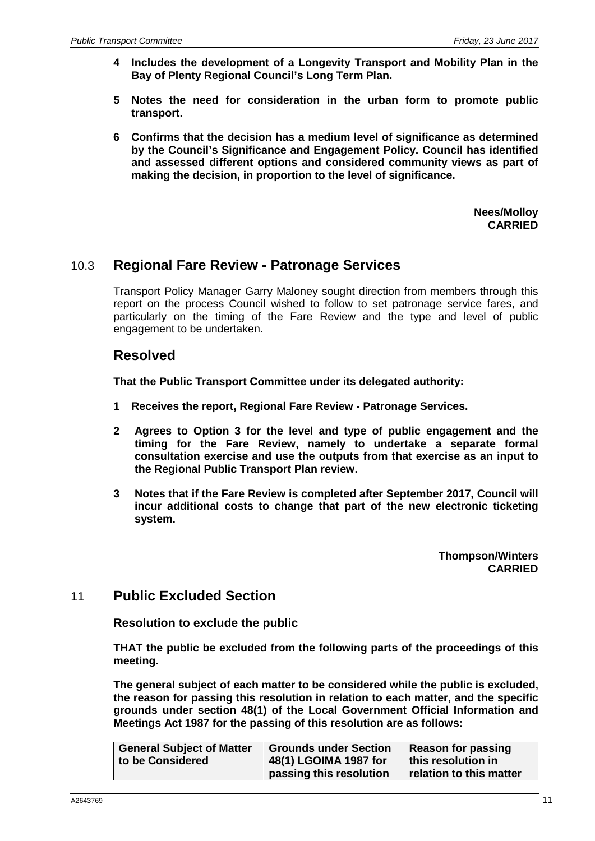- **4 Includes the development of a Longevity Transport and Mobility Plan in the Bay of Plenty Regional Council's Long Term Plan.**
- **5 Notes the need for consideration in the urban form to promote public transport.**
- **6 Confirms that the decision has a medium level of significance as determined by the Council's Significance and Engagement Policy. Council has identified and assessed different options and considered community views as part of making the decision, in proportion to the level of significance.**

**Nees/Molloy CARRIED**

## 10.3 **Regional Fare Review - Patronage Services**

Transport Policy Manager Garry Maloney sought direction from members through this report on the process Council wished to follow to set patronage service fares, and particularly on the timing of the Fare Review and the type and level of public engagement to be undertaken.

## **Resolved**

**That the Public Transport Committee under its delegated authority:**

- **1 Receives the report, Regional Fare Review - Patronage Services.**
- **2 Agrees to Option 3 for the level and type of public engagement and the timing for the Fare Review, namely to undertake a separate formal consultation exercise and use the outputs from that exercise as an input to the Regional Public Transport Plan review.**
- **3 Notes that if the Fare Review is completed after September 2017, Council will incur additional costs to change that part of the new electronic ticketing system.**

**Thompson/Winters CARRIED**

### 11 **Public Excluded Section**

**Resolution to exclude the public**

**THAT the public be excluded from the following parts of the proceedings of this meeting.**

**The general subject of each matter to be considered while the public is excluded, the reason for passing this resolution in relation to each matter, and the specific grounds under section 48(1) of the Local Government Official Information and Meetings Act 1987 for the passing of this resolution are as follows:**

| <b>General Subject of Matter</b> | <b>Grounds under Section</b> | <b>Reason for passing</b> |
|----------------------------------|------------------------------|---------------------------|
| to be Considered                 | 48(1) LGOIMA 1987 for        | this resolution in        |
|                                  | passing this resolution      | relation to this matter   |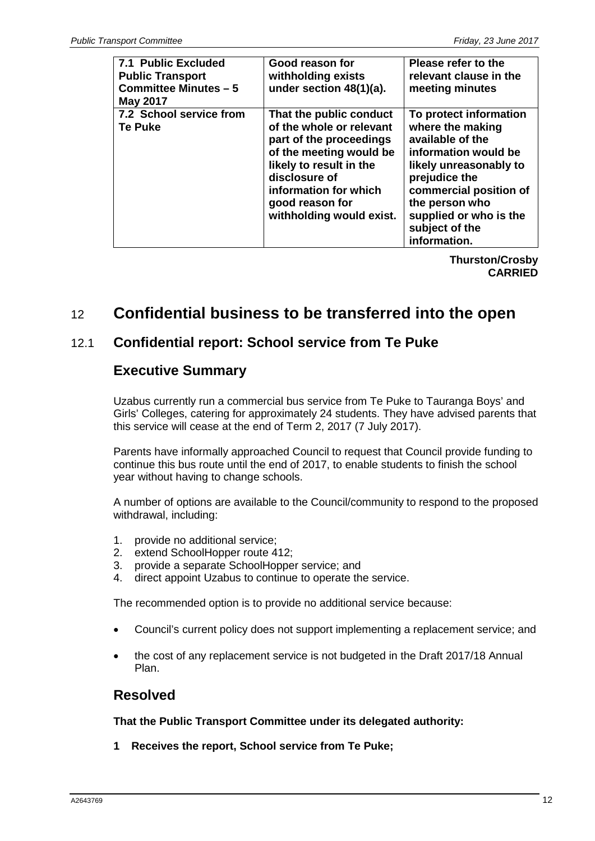| <b>7.1 Public Excluded</b><br><b>Public Transport</b><br><b>Committee Minutes - 5</b><br><b>May 2017</b> | Good reason for<br>withholding exists<br>under section 48(1)(a).                                                                                                                                                              | Please refer to the<br>relevant clause in the<br>meeting minutes                                                                                                                                                                          |
|----------------------------------------------------------------------------------------------------------|-------------------------------------------------------------------------------------------------------------------------------------------------------------------------------------------------------------------------------|-------------------------------------------------------------------------------------------------------------------------------------------------------------------------------------------------------------------------------------------|
| 7.2 School service from<br><b>Te Puke</b>                                                                | That the public conduct<br>of the whole or relevant<br>part of the proceedings<br>of the meeting would be<br>likely to result in the<br>disclosure of<br>information for which<br>good reason for<br>withholding would exist. | To protect information<br>where the making<br>available of the<br>information would be<br>likely unreasonably to<br>prejudice the<br>commercial position of<br>the person who<br>supplied or who is the<br>subject of the<br>information. |

**Thurston/Crosby CARRIED**

# 12 **Confidential business to be transferred into the open**

## 12.1 **Confidential report: School service from Te Puke**

## **Executive Summary**

Uzabus currently run a commercial bus service from Te Puke to Tauranga Boys' and Girls' Colleges, catering for approximately 24 students. They have advised parents that this service will cease at the end of Term 2, 2017 (7 July 2017).

Parents have informally approached Council to request that Council provide funding to continue this bus route until the end of 2017, to enable students to finish the school year without having to change schools.

A number of options are available to the Council/community to respond to the proposed withdrawal, including:

- 1. provide no additional service;
- 2. extend SchoolHopper route 412;
- 3. provide a separate SchoolHopper service; and
- 4. direct appoint Uzabus to continue to operate the service.

The recommended option is to provide no additional service because:

- Council's current policy does not support implementing a replacement service; and
- the cost of any replacement service is not budgeted in the Draft 2017/18 Annual Plan.

## **Resolved**

**That the Public Transport Committee under its delegated authority:**

**1 Receives the report, School service from Te Puke;**